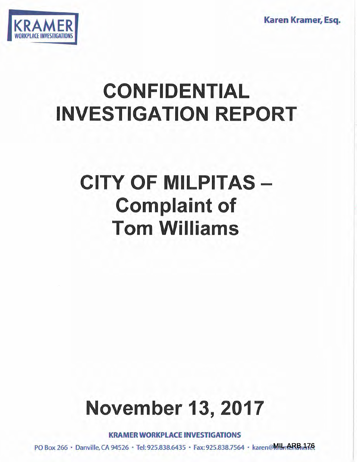Karen Kramer, Esq.



# CONFIDENTIAL INVESTIGATION REPORT

## CITY OF MILPITAS Complaint of Tom Williams

# November 13, 2017

KRAMER WORKPLACE INVESTIGATIONS

PO Box 266 • Danville, CA 94526 • Tel: 925.838.6435 • Fax: 925.838.7564 • karen@MumeRBw.17&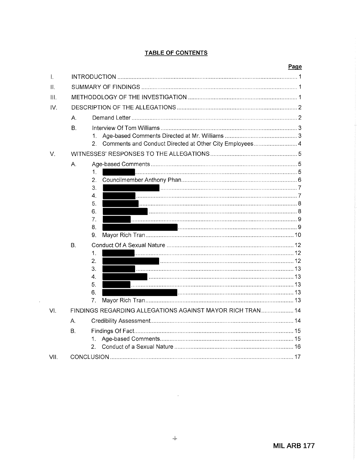## **TABLE OF CONTENTS**

|      |                                                           |                                                                                        | Page           |  |
|------|-----------------------------------------------------------|----------------------------------------------------------------------------------------|----------------|--|
| T.   |                                                           |                                                                                        |                |  |
| 11.  |                                                           |                                                                                        |                |  |
| III. |                                                           |                                                                                        |                |  |
| IV.  |                                                           |                                                                                        |                |  |
|      | А.                                                        |                                                                                        |                |  |
|      | B.                                                        | 1.<br>Comments and Conduct Directed at Other City Employees 4<br>2.                    |                |  |
| V.   |                                                           |                                                                                        |                |  |
|      | А.<br>В.                                                  | 1.<br>2.<br>З.<br>4.<br>5.<br>6.<br>7.<br>8.<br>9.<br>1.<br>2.<br>3.<br>4.<br>5.<br>6. | 13<br>13<br>13 |  |
|      |                                                           | 7.                                                                                     |                |  |
| VI.  | FINDINGS REGARDING ALLEGATIONS AGAINST MAYOR RICH TRAN 14 |                                                                                        |                |  |
|      | A <sub>1</sub>                                            |                                                                                        |                |  |
|      | В.                                                        | 1.<br>2.                                                                               |                |  |
| VII. |                                                           |                                                                                        |                |  |

 $\sim$ 

 $\sim$   $\sim$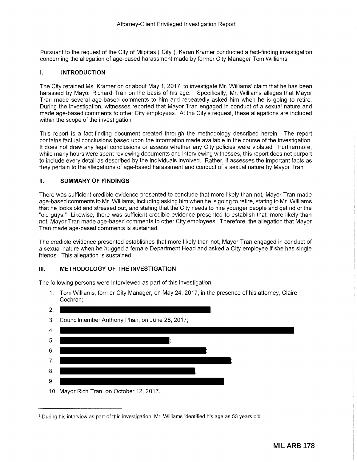Pursuant to the request of the City of Milpitas ("City"), Karen Kramer conducted a fact-finding investigation concerning the allegation of age-based harassment made by former City Manager Tom Williams.

### I. **INTRODUCTION**

The City retained Ms. Kramer on or about May 1, 2017, to investigate Mr. Williams' claim that he has been harassed by Mayor Richard Tran on the basis of his age.<sup>1</sup> Specifically, Mr. Williams alleges that Mayor Tran made several age-based comments to him and repeatedly asked him when he is going to retire. During the investigation, witnesses reported that Mayor Tran engaged in conduct of a sexual nature and made age-based comments to other City employees. At the City's request, these allegations are included within the scope of the investigation.

This report is a fact-finding document created through the methodology described herein. The report contains factual conclusions based upon the information made available in the course of the investigation. It does not draw any legal conclusions or assess whether any City policies were violated. Furthermore, while many hours were spent reviewing documents and interviewing witnesses, this report does not purport to include every detail as described by the individuals involved. Rather, it assesses the important facts as they pertain to the allegations of age-based harassment and conduct of a sexual nature by Mayor Tran.

#### II. **SUMMARY OF FINDINGS**

There was sufficient credible evidence presented to conclude that more likely than not, Mayor Tran made age-based comments to Mr. Williams, including asking him when he is going to retire, stating to Mr. Williams that he looks old and stressed out, and stating that the City needs to hire younger people and get rid of the "old guys." Likewise, there was sufficient credible evidence presented to establish that, more likely than not, Mayor Tran made age-based comments to other City employees. Therefore, the allegation that Mayor Tran made age-based comments is sustained.

The credible evidence presented establishes that more likely than not, Mayor Tran engaged in conduct of a sexual nature when he hugged a female Department Head and asked a City employee if she has single friends. This allegation is sustained.

#### **Ill. METHODOLOGY OF THE INVESTIGATION**

The following persons were interviewed as part of this investigation:

1. Tom Williams, former City Manager, on May 24, 2017, in the presence of his attorney, Claire Cochran;



<sup>1</sup> During his interview as part of this investigation, Mr. Williams identified his age as 53 years old.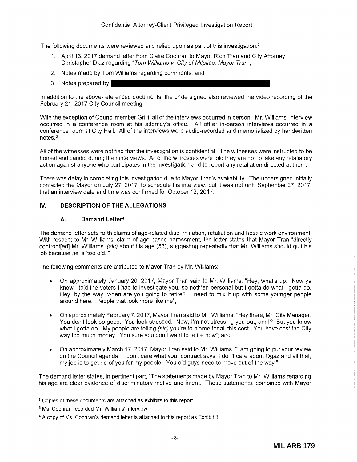The following documents were reviewed and relied upon as part of this investigation: $2$ 

- 1. April 13, 2017 demand letter from Claire Cochran to Mayor Rich Tran and City Attorney Christopher Diaz regarding "Tom Williams v. City of Milpitas, Mayor Tran";
- 2. Notes made by Tom Williams regarding comments; and
- 3. Notes prepared by

In addition to the above-referenced documents, the undersigned also reviewed the video recording of the February 21, 2017 City Council meeting.

With the exception of Councilmember Grilli, all of the interviews occurred in person. Mr. Williams' interview occurred in a conference room at his attorney's office. All other in-person interviews occurred in a conference room at City Hall. All of the interviews were audio-recorded and memorialized by handwritten notes. <sup>3</sup>

All of the witnesses were notified that the investigation is confidential. The witnesses were instructed to be honest and candid during their interviews. All of the witnesses were told they are not to take any retaliatory action against anyone who participates in the investigation and to report any retaliation directed at them.

There was delay in completing this investigation due to Mayor Tran's availability. The undersigned initially contacted the Mayor on July 27, 2017, to schedule his interview, but it was not until September 27, 2017, that an interview date and time was confirmed for October 12, 2017.

## IV. **DESCRIPTION OF THE ALLEGATIONS**

#### **A. Demand Letter<sup>4</sup>**

The demand letter sets forth claims of age-related discrimination, retaliation and hostile work environment. With respect to Mr. Williams' claim of age-based harassment, the letter states that Mayor Tran "directly confront[ed] Mr. Williams' (sic) about his age (53), suggesting repeatedly that Mr. Williams should quit his job because he is 'too old."'

The following comments are attributed to Mayor Tran by Mr. Williams:

- On approximately January 20, 2017, Mayor Tran said to Mr. Williams, "Hey, what's up. Now ya know I told the voters I had to investigate you, so noth'en personal but I gotta do what I gotta do. Hey, by the way, when are you going to retire? I need to mix it up with some younger people around here. People that look more like me";
- On approximately February 7, 2017, Mayor Tran said to Mr. Williams, "Hey there, Mr. City Manager. You don't look so good. You look stressed. Now, I'm not stressing you out, am I? But you know what I gotta do. My people are telling (sic) you're to blame for all this cost. You have cost the City way too much money. You sure you don't want to retire now"; and
- On approximately March 17, 2017, Mayor Tran said to Mr. Williams, "I am going to put your review on the Council agenda. I don't care what your contract says, I don't care about Ogaz and all that, my job is to get rid of you for my people. You old guys need to move out of the way."

The demand letter states, in pertinent part, "The statements made by Mayor Tran to Mr. Williams regarding his age are clear evidence of discriminatory motive and intent. These statements, combined with Mayor

<sup>2</sup>Copies of these documents are attached as exhibits to this report.

<sup>&</sup>lt;sup>3</sup> Ms. Cochran recorded Mr. Williams' interview.

<sup>4</sup>A copy of Ms. Cochran's demand letter is attached to this report as Exhibit 1.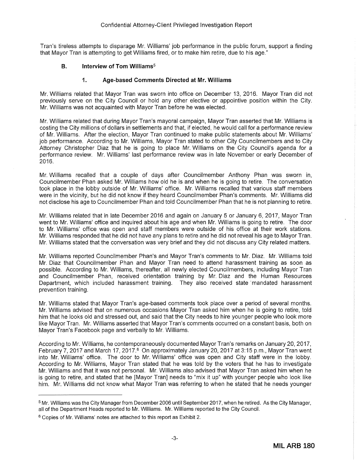Tran's tireless attempts to disparage Mr. Williams' job performance in the public forum, support a finding that Mayor Tran is attempting to get Williams fired, or to make him retire, due to his age."

### **B. Interview of Tom Williams<sup>5</sup>**

#### **1. Age-based Comments Directed at Mr. Williams**

Mr. Williams related that Mayor Tran was sworn into office on December 13, 2016. Mayor Tran did not previously serve on the City Council or hold any other elective or appointive position within the City. Mr. Williams was not acquainted with Mayor Tran before he was elected.

Mr. Williams related that during Mayor Tran's mayoral campaign, Mayor Tran asserted that Mr. Williams is costing the City millions of dollars in settlements and that, if elected, he would call for a performance review of Mr. Williams. After the election, Mayor Tran continued to make public statements about Mr. Williams' job performance. According to Mr. Williams, Mayor Tran stated to other City Councilmembers and to City Attorney Christopher Diaz that he is going to place Mr. Williams on the City Council's agenda for a performance review. Mr. Williams' last performance review was in late November or early December of 2016.

Mr. Williams recalled that a couple of days after Councilmember Anthony Phan was sworn in, Councilmember Phan asked Mr. Williams how old he is and when he is going to retire. The conversation took place in the lobby outside of Mr. Williams' office. Mr. Williams recalled that various staff members were in the vicinity, but he did not know if they heard Councilmember Phan's comments. Mr. Williams did not disclose his age to Councilmember Phan and told Councilmember Phan that he is not planning to retire.

Mr. Williams related that in late December 2016 and again on January 5 or January 6, 2017, Mayor Tran went to Mr. Williams' office and inquired about his age and when Mr. Williams is going to retire. The door to Mr. Williams' office was open and staff members were outside of his office at their work stations. Mr. Williams responded that he did not have any plans to retire and he did not reveal his age to Mayor Tran. Mr. Williams stated that the conversation was very brief and they did not discuss any City related matters.

Mr. Williams reported Councilmember Phan's and Mayor Tran's comments to Mr. Diaz. Mr. Williams told Mr. Diaz that Councilmember Phan and Mayor Tran need to attend harassment training as soon as possible. According to Mr. Williams, thereafter, all newly elected Councilmembers, including Mayor Tran and Councilmember Phan, received orientation training by Mr. Diaz and the Human Resources Department, which included harassment training. They also received state mandated harassment prevention training.

Mr. Williams stated that Mayor Tran's age-based comments took place over a period of several months. Mr. Williams advised that on numerous occasions Mayor Tran asked him when he is going to retire, told him that he looks old and stressed out, and said that the City needs to hire younger people who look more like Mayor Tran. Mr. Williams asserted that Mayor Tran's comments occurred on a constant basis, both on Mayor Tran's Facebook page and verbally to Mr. Williams.

According to Mr. Williams, he contemporaneously documented Mayor Tran's remarks on January 20, 2017, February 7, 2017 and March 17, 2017.<sup>6</sup> On approximately January 20, 2017 at 3:15 p.m., Mayor Tran went into Mr. Williams' office. The door to Mr. Williams' office was open and City staff were in the lobby. According to Mr. Williams, Mayor Tran stated that he was told by the voters that he has to investigate Mr. Williams and that it was not personal. Mr. Williams also advised that Mayor Tran asked him when he is going to retire, and stated that he [Mayor Tran] needs to "mix it up" with younger people who look like him. Mr. Williams did not know what Mayor Tran was referring to when he stated that he needs younger

<sup>5</sup>Mr. Williams was the City Manager from December 2006 until September 2017, when he retired. As the City Manager, all of the Department Heads reported to Mr. Williams. Mr. Williams reported to the City Council.

<sup>&</sup>lt;sup>6</sup> Copies of Mr. Williams' notes are attached to this report as Exhibit 2.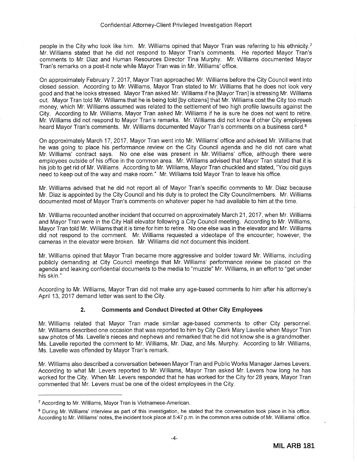people in the City who look like him. Mr. Williams opined that Mayor Tran was referring to his ethnicity. <sup>7</sup> Mr. Williams stated that he did not respond to Mayor Tran's comments. He reported Mayor Tran's comments to Mr. Diaz and Human Resources Director Tina Murphy. Mr. Williams documented Mayor Tran's remarks on a post-it note while Mayor Tran was in Mr. Williams' office.

On approximately February 7, 2017, Mayor Tran approached Mr. Williams before the City Council went into closed session. According to Mr. Williams, Mayor Tran stated to Mr. Williams that he does not look very good and that he looks stressed. Mayor Tran asked Mr. Williams if he [Mayor Tran] is stressing Mr. Williams out. Mayor Tran told Mr. Williams that he is being told [by citizens] that Mr. Williams cost the City too much money, which Mr. Williams assumed was related to the settlement of two high profile lawsuits against the City. According to Mr. Williams, Mayor Tran asked Mr. Williams if he is sure he does not want to retire. Mr. Williams did not respond to Mayor Tran's remarks. Mr. Williams did not know if other City employees heard Mayor Tran's comments. Mr. Williams documented Mayor Tran's comments on a business card.<sup>8</sup>

On approximately March 17, 2017, Mayor Tran went into Mr. Williams' office and advised Mr. Williams that he was going to place his performance review on the City Council agenda and he did not care what Mr. Williams' contract says. No one else was present in Mr. Williams' office, although there were employees outside of his office in the common area. Mr. Williams advised that Mayor Tran stated that it is his job to get rid of Mr. Williams. According to Mr. Williams, Mayor Tran chuckled and stated, "You old guys need to keep out of the way and make room." Mr. Williams told Mayor Tran to leave his office.

Mr. Williams advised that he did not report all of Mayor Tran's specific comments to Mr. Diaz because Mr. Diaz is appointed by the City Council and his duty is to protect the City Councilmembers. Mr. Williams documented most of Mayor Tran's comments on whatever paper he had available to him at the time.

Mr. Williams recounted another incident that occurred on approximately March 21, 2017, when Mr. Williams and Mayor Tran were in the City Hall elevator following a City Council meeting. According to Mr. Williams, Mayor Tran told Mr. Williams that it is time for him to retire. No one else was in the elevator and Mr. Williams did not respond to the comment. Mr. Williams requested a videotape of the encounter; however, the cameras in the elevator were broken. Mr. Williams did not document this incident.

Mr. Williams opined that Mayor Tran became more aggressive and bolder toward Mr. Williams, including publicly demanding at City Council meetings that Mr. Williams' performance review be placed on the agenda and leaking confidential documents to the media to "muzzle" Mr. Williams, in an effort to "get under his skin."

According to Mr. Williams, Mayor Tran did not make any age-based comments to him after his attorney's April 13, 2017 demand letter was sent to the City.

## **2. Comments and Conduct Directed at Other City Employees**

Mr. Williams related that Mayor Tran made similar age-based comments to other City personnel. Mr. Williams described one occasion that was reported to him by City Clerk Mary Lavelle when Mayor Tran saw photos of Ms. Lavelle's nieces and nephews and remarked that he did not know she is a grandmother. Ms. Lavelle reported the comment to Mr. Williams, Mr. Diaz, and Ms. Murphy. According to Mr. Williams, Ms. Lavelle was offended by Mayor Tran's remark.

Mr. Williams also described a conversation between Mayor Tran and Public Works Manager James Levers. According to what Mr. Levers reported to Mr. Williams, Mayor Tran asked Mr. Levers how long he has worked for the City. When Mr. Levers responded that he has worked for the City for 28 years, Mayor Tran commented that Mr. Levers must be one of the oldest employees in the City.

<sup>7</sup> According to Mr. Williams, Mayor Tran is Vietnamese-American.

<sup>&</sup>lt;sup>8</sup> During Mr. Williams' interview as part of this investigation, he stated that the conversation took place in his office. According to Mr. Williams' notes, the incident took place at 5:47 p.m. in the common area outside of Mr. Williams' office.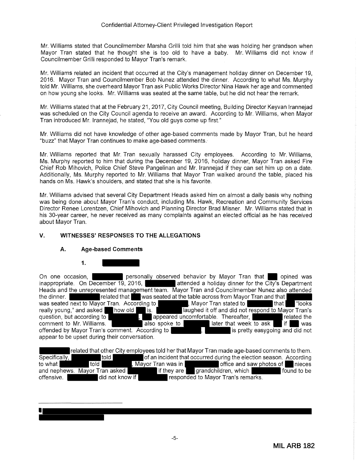Mr. Williams stated that Councilmember Marsha Grilli told him that she was holding her grandson when Mayor Tran stated that he thought she is too old to have a baby. Mr. Williams did not know if Councilmember Grilli responded to Mayor Tran's remark.

Mr. Williams related an incident that occurred at the City's management holiday dinner on December 19, 2016. Mayor Tran and Councilmember Bob Nunez attended the dinner. According to what Ms. Murphy told Mr. Williams, she overheard Mayor Tran ask Public Works Director Nina Hawk her age and commented on how young she looks. Mr. Williams was seated at the same table, but he did not hear the remark.

Mr. Williams stated that at the February 21, 2017, City Council meeting, Building Director Keyvan lrannejad was scheduled on the City Council agenda to receive an award. According to Mr. Williams, when Mayor Tran introduced Mr. lrannejad, he stated, "You old guys come up first."

Mr. Williams did not have knowledge of other age-based comments made by Mayor Tran, but he heard "buzz" that Mayor Tran continues to make age-based comments.

Mr. Williams reported that Mr. Tran sexually harassed City employees. According to Mr. Williams, Ms. Murphy reported to him that during the December 19, 2016, holiday dinner, Mayor Tran asked Fire Chief Rob Mihovich, Police Chief Steve Pangelinan and Mr. lrannejad if they can set him up on a date. Additionally, Ms. Murphy reported to Mr. Williams that Mayor Tran walked around the table, placed his hands on Ms. Hawk's shoulders, and stated that she is his favorite.

Mr. Williams advised that several City Department Heads asked him on almost a daily basis why nothing was being done about Mayor Tran's conduct, including Ms. Hawk, Recreation and Community Services Director Renee Lorentzen, Chief Mihovich and Planning Director Brad Misner. Mr. Williams stated that in his 30-year career, he never received as many complaints against an elected official as he has received about Mayor Tran.

## **V. WITNESSES' RESPONSES TO THE ALLEGATIONS**

## **A. Age-based Comments**

**1.** 

On one occasion, personally observed behavior by Mayor Tran that opined was inappropriate. On December 19, 2016, attended a holiday dinner for the City's Department Heads and the unrepresented management team. Mayor Tran and Council member Nunez also attended<br>the dinner. was seated at the table across from Mayor Tran and that  $\frac{1}{1}$  ding to  $\frac{1}{1}$  that  $\frac{1}{1}$ was seated next to Mayor Tran. According to **the COVID-Mayor Tran stated to that "**looks" ("looks") really young," and asked how old is. **If any property is a set off** and did not respond to Mayor Tran's question, but according to **the set of the summer of the set of the set of the set of the set of the set of the** , appeared uncomfortable. Thereafter, **container to the property of the set of the set of the set of the set of the set of the set of the set of the set of the set of the set of the set of the set of the set of the set of** question, but according to **later to Mr. Williams.** also spoke to later that week to ask if if was offended by Mayor Tran's comment. According to **later** that week to ask if was offended by Mayor Tran's comment. According offended by Mayor Tran's comment. According to appear to be upset during their conversation.

related that other City employees told her that Mayor Tran made age-based comments to them.<br>
of an incident that occurred during the election season. According told **Fig. 2018** of an incident that occurred during the election season. According to what told told , Mayor Tran was in bottlie and saw photos of Inieces and nephews. Mayor Tran asked **in the same if they are grandchildren**, which **in the same offensive.** If found to be offensive. offensive. **did not know if responded to Mayor Tran's remarks.**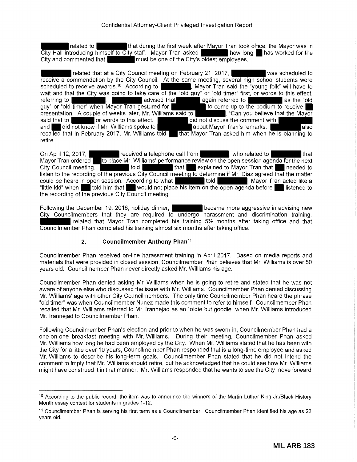related to that during the first week after Mayor Tran took office, the Mayor was in troducing himself to City staff. Mayor Tran asked City Hall introducing himself to City staff. Mayor Tran asked City and commented that **the must be one of the City's oldest employees.** 

related that at a City Council meeting on February 21, 2017, **was scheduled to** vas receive a commendation by the City Council. At the same meeting, several high school students were scheduled to receive awards.<sup>10</sup> According to **Networth Containstant According Solvetter**, Mayor Tran said the "young folk"  $\,$  Mayor Tran said the "young folk" will have to wait and that the City was going to take care of the "old guy" or "old timer" first, or words to this effect, referring to words to this effect, | again referred to | again referred to | as the "old as the "old to as the "old to as the "old to a quy" or "old timer" when Mayor Tran gestured for presentation. A couple of weeks later, Mr. Williams said to **inclusively**, "Can you believe that the Mayor said that to **the mayor** said that to **the mayor** did not discuss the comment with and did not know if Mr. Williams spoke to about Mayor Tran's remarks. recalled that in February 2017, Mr. Williams told that Mayor Tran asked him when he is planning to retire.

On April 12, 2017, **received a telephone call from that**, who related to that Mayor Tran ordered to place Mr. Williams' performance review on the open session agenda for the next<br>City Council meeting. Ithat explained to Mayor Tran that needed to listen to the recording of the previous City Council meeting to determine if Mr. Diaz agreed that the matter could be heard in open session. According to what **the set of the set of the set of the set of the set of the s**<br>"little kid" when **the set of the set of the set of the set of the set of the set of the set of the set of th** "told him that would not place his item on the open agenda before listened to the recording of the previous City Council meeting.

Following the December 19, 2016, holiday dinner, **became more aggressive in advising new** City Councilmembers that they are required to undergo harassment and discrimination training. related that Mayor Tran completed his training 5½ months after taking office and that Councilmember Phan completed his training almost six months after taking office.

## **2. Councilmember Anthony Phan11**

Councilmember Phan received on-line harassment training in April 2017. Based on media reports and materials that were provided in closed session, Councilmember Phan believes that Mr. Williams is over 50 years old. Councilmember Phan never directly asked Mr. Williams his age.

Councilmember Phan denied asking Mr. Williams when he is going to retire and stated that he was not aware of anyone else who discussed the issue with Mr. Williams. Councilmember Phan denied discussing Mr. Williams' age with other City Councilmembers. The only time Councilmember Phan heard the phrase "old timer" was when Councilmember Nunez made this comment to refer to himself. Councilmember Phan recalled that Mr. Williams referred to Mr. lrannejad as an "oldie but goodie" when Mr. Williams introduced Mr. lrannejad to Councilmember Phan.

Following Councilmember Phan's election and prior to when he was sworn in, Councilmember Phan had a one-on-one breakfast meeting with Mr. Williams. During their meeting, Councilmember Phan asked Mr. Williams how long he had been employed by the City. When Mr. Williams stated that he has been with the City for a little over 10 years, Councilmember Phan responded that is a long-time employee and asked Mr. Williams to describe his long-term goals. Councilmember Phan stated that he did not intend the comment to imply that Mr. Williams should retire, but he acknowledged that he could see how Mr. Williams might have construed it in that manner. Mr. Williams responded that he wants to see the City move forward

<sup>&</sup>lt;sup>10</sup> According to the public record, the item was to announce the winners of the Martin Luther King Jr./Black History Month essay contest for students in grades 1-12.

<sup>11</sup> Councilmember Phan is serving his first term as a Councilmember. Councilmember Phan identified his age as 23 years old.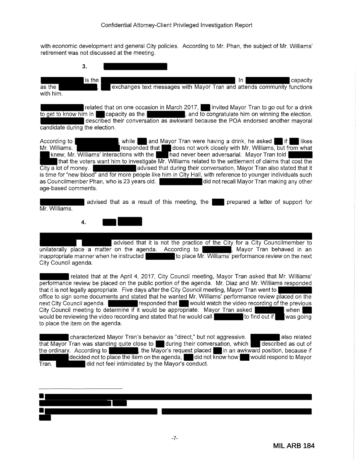with economic development and general City policies. According to Mr. Phan, the subject of Mr. Williams' retirement was not discussed at the meeting.

| 3.                                                                                                                                                                                                                                                                                                                                                                                                                                                                                                                                                                                                                                                                                                                                                                                      |
|-----------------------------------------------------------------------------------------------------------------------------------------------------------------------------------------------------------------------------------------------------------------------------------------------------------------------------------------------------------------------------------------------------------------------------------------------------------------------------------------------------------------------------------------------------------------------------------------------------------------------------------------------------------------------------------------------------------------------------------------------------------------------------------------|
| is the<br>In.<br>capacity<br>exchanges text messages with Mayor Tran and attends community functions<br>$\overline{\mathsf{as}}$ the<br>with him.                                                                                                                                                                                                                                                                                                                                                                                                                                                                                                                                                                                                                                       |
| related that on one occasion in March 2017, invited Mayor Tran to go out for a drink<br>to get to know him in Capacity as the can be a set of the congratulate him on winning the election.<br>described their conversation as awkward because the POA endorsed another mayoral<br>candidate during the election.                                                                                                                                                                                                                                                                                                                                                                                                                                                                       |
| and Mayor Tran were having a drink, he asked<br>According to<br>$\blacksquare$ if $\blacksquare$<br>likes<br>while I<br>responded that does not work closely with Mr. Williams, but from what<br>Mr. Williams.<br>$\blacksquare$ knew, Mr. Williams' interactions with the $\blacksquare$ Thad never been adversarial. Mayor Tran told<br>that the voters want him to investigate Mr. Williams related to the settlement of claims that cost the<br>advised that during their conversation, Mayor Tran also stated that it<br>City a lot of money.<br>is time for "new blood" and for more people like him in City Hall, with reference to younger individuals such<br>did not recall Mayor Tran making any other<br>as Councilmember Phan, who is 23 years old.<br>age-based comments. |
| advised that as a result of this meeting, the<br>prepared a letter of support for<br>Mr. Williams.                                                                                                                                                                                                                                                                                                                                                                                                                                                                                                                                                                                                                                                                                      |
| 4.                                                                                                                                                                                                                                                                                                                                                                                                                                                                                                                                                                                                                                                                                                                                                                                      |
| advised that it is not the practice of the City for a City Councilmember to<br>unilaterally place a matter on the agenda. According to  <br>, Mayor Tran behaved in an<br>inappropriate manner when he instructed<br>to place Mr. Williams' performance review on the next<br>City Council agenda.                                                                                                                                                                                                                                                                                                                                                                                                                                                                                      |
| related that at the April 4, 2017, City Council meeting, Mayor Tran asked that Mr. Williams'<br>performance review be placed on the public portion of the agenda. Mr. Diaz and Mr. Williams responded<br>that it is not legally appropriate. Five days after the City Council meeting, Mayor Tran went to<br>office to sign some documents and stated that he wanted Mr. Williams' performance review placed on the<br>responded that would watch the video recording of the previous<br>next City Council agenda.<br>City Council meeting to determine if it would be appropriate. Mayor Tran asked<br>when<br>would be reviewing the video recording and stated that he would call<br>to find out if<br>was going<br>to place the item on the agenda.                                 |
| characterized Mayor Tran's behavior as "direct," but not aggressive.<br>also related                                                                                                                                                                                                                                                                                                                                                                                                                                                                                                                                                                                                                                                                                                    |

that Mayor Tran was standing quite close to  $\;\;\;\;\;\;$  during their conversation, which  $\;\;\;\;\;$  described as out of the ordinary. According to \_\_\_\_\_\_\_\_\_\_, the Mayor's request placed \_\_\_in an awkward position, because if decided not to place the item on the agenda, did not know how would respond to Mayor Tran. **The Conduct of the Mayor's conduct.** 



Ī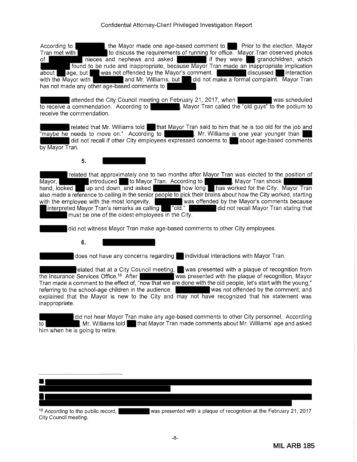### Confidential Attorney-Client Privileged Investigation Report

According to , , the Mayor made one age-based comment to Prior to the election, Mayor Tran met with to discuss the requirements of running for office. Mayor Tran observed photos of nieces and nephews and asked if they were grandchildren, which found to be rude and inappropriate, because Mayor Tran made an inappropriate implication about age, but was not offended by the Mayor's comment.<br>with the Mayor with and Mr. Williams, but did not make a formal complaint. Mayor Tran and Mr. Williams, but did not make a formal complaint. Mayor Tran has not made any other age-based comments to

attended the City Council meeting on February 21, 2017, when was scheduled to receive a commendation. According to **a comment of the Mayor Tran** called the "old guys" to the podium to receive the commendation.

related that Mr. Williams told that Mayor Tran said to him that he is too old for the job and "maybe he needs to move on." According to , Mr. Williams is one year younger than did not recall if other City employees expressed concerns to about age-based comments by Mayor Tran.

## **5.**

related that approximately one to two months after Mayor Tran was elected to the position of Mayor, introduced to Mayor Tran. According to , Mayor Tran shook hand, looked up and down, and asked how long has worked for the City. Mayor Tran also made a reference to calling in the senior people to pick their brains about how the City worked, starting with the employee with the most longevity. was offended by the Mayor's comments because interpreted Mayor Tran's remarks as calling "old." did not recall Mayor Tran stating that must be one of the oldest employees in the City.

did not witness Mayor Tran make age-based comments to other City employees.

**6.** 

does not have any concerns regarding individual interactions with Mayor Tran.

related that at a City Council meeting,  $\blacksquare$  was presented with a plaque of recognition from the Insurance Services Office.<sup>16</sup> After was presented with the plaque of recognition, Mayor Tran made a comment to the effect of, "now that we are done with the old people, let's start with the young,"<br>The property was not offended by the comment, and referring to the school-age children in the audience. explained that the Mayor is new to the City and may not have recognized that his statement was inappropriate.

did not hear Mayor Tran make any age-based comments to other City personnel. According to **the community of that Mayor Tran made comments about Mr. Williams' age and asked** him when he is going to retire.



<sup>16</sup> According to the public record, was presented with a plaque of recognition at the February 21, 2017 City Council meeting.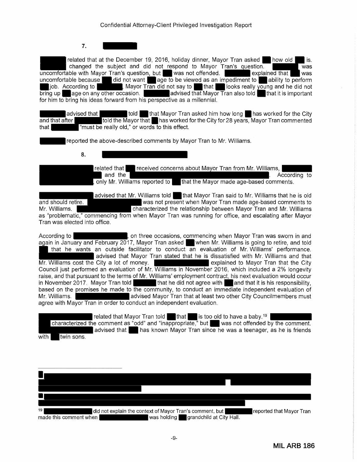**7.** 

related that at the December 19, 2016, holiday dinner, Mayor Tran asked  $\blacksquare$  how old  $\blacksquare$  is. changed the subject and did not respond to Mayor Tran's question. uncomfortable with Mayor Tran's question, but was not offended. explained that was uncomfortable because did not want and age to be viewed as an impediment to a ability to perform omfortable because did not want age to be viewed as an impediment to ability to perform job. According to  $\blacksquare$ , Mayor Tran did not say to  $\blacksquare$  that  $\blacksquare$  looks really voung and he did not job. According to **the model of that is a** know Tran did not say to that **that looks really young and he did not**<br>bring up age on any other occasion. advised that Mayor Tran also told for him to bring his ideas forward from his perspective as a millennial.

advised that **told** that Mayor Tran asked him how long has worked for the City and that after told the Mayor that has worked for the City for 28 years, Mayor Tran commented that "must be really old," or words to this effect.

reported the above-described comments by Mayor Tran to Mr. Williams.

**8.** 

related that **received concerns about Mayor Tran from Mr. Williams,** and the . According to the set of the set of the set of the set of the set of the set of the set of the set of , only Mr. Williams reported to  $\qquad \qquad$  that the Mayor made age-based comments.

advised that Mr. Williams told that Mayor Tran said to Mr. Williams that he is old and should retire. Was not present when Mayor Tran made age-based comments to Mr. Williams. Characterized the relationship between Mayor Tran and Mr. Williams as "problematic," commencing from when Mayor Tran was running for office, and escalating after Mayor Tran was elected into office.

According to , on three occasions, commencing when Mayor Tran was sworn in and again in January and February 2017, Mayor Tran asked when Mr. Williams is going to retire, and told that he wants an outside facilitator to conduct an evaluation of Mr. Williams' performance. advised that Mayor Tran stated that he is dissatisfied with Mr. Williams and that Mr. Williams cost the City a lot of money. **Example 20 and St August** explained to Mayor Tran that the City Council just performed an evaluation of Mr. Williams in November 2016, which included a 2% longevity raise, and that pursuant to the terms of Mr. Williams' employment contract, his next evaluation would occur in November 2017. Mayor Tran told that he did not agree with and that it is his responsibility, based on the promises he made to the community, to conduct an immediate independent evaluation of Mr. Williams. **A contract and advised Mayor Tran that at least two other City Councilmembers must** agree with Mayor Tran in order to conduct an independent evaluation.

related that Mayor Tran told  $\blacksquare$  that is too old to have a baby.<sup>19</sup> characterized the comment as "odd" and "inappropriate," but was not offended by the comment. advised that has known Mayor Tran since he was a teenager, as he is friends with twin sons.

| 19<br>did not explain the context of Mayor Tran's comment, but | reported that Mayor Tran |
|----------------------------------------------------------------|--------------------------|
| was holding grandchild at City Hall.<br>made this comment when |                          |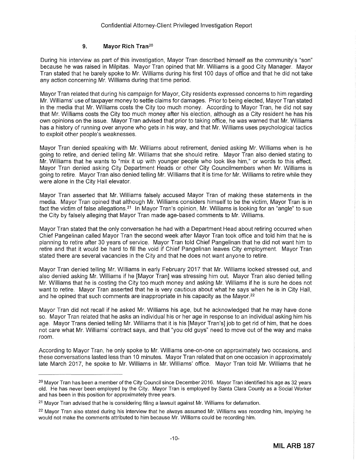## **9. Mayor Rich** Tran20

During his interview as part of this investigation, Mayor Tran described himself as the community's "son" because he was raised in Milpitas. Mayor Tran opined that Mr. Williams is a good City Manager. Mayor Tran stated that he barely spoke to Mr. Williams during his first 100 days of office and that he did not take any action concerning Mr. Williams during that time period.

Mayor Tran related that during his campaign for Mayor, City residents expressed concerns to him regarding Mr. Williams' use of taxpayer money to settle claims for damages. Prior to being elected, Mayor Tran stated in the media that Mr. Williams costs the City too much money. According to Mayor Tran, he did not say that Mr. Williams costs the City too much money after his election, although as a City resident he has his own opinions on the issue. Mayor Tran advised that prior to taking office, he was warned that Mr. Williams has a history of running over anyone who gets in his way, and that Mr. Williams uses psychological tactics to exploit other people's weaknesses.

Mayor Tran denied speaking with Mr. Williams about retirement, denied asking Mr. Williams when is he going to retire, and denied telling Mr. Williams that she should retire. Mayor Tran also denied stating to Mr. Williams that he wants to "mix it up with younger people who look like him," or words to this effect. Mayor Tran denied asking City Department Heads or other City Councilmembers when Mr. Williams is going to retire. Mayor Tran also denied telling Mr. Williams that it is time for Mr. Williams to retire while they were alone in the City Hall elevator.

Mayor Tran asserted that Mr. Williams falsely accused Mayor Tran of making these statements in the media. Mayor Tran opined that although Mr. Williams considers himself to be the victim, Mayor Tran is in fact the victim of false allegations.<sup>21</sup> In Mayor Tran's opinion, Mr. Williams is looking for an "angle" to sue the City by falsely alleging that Mayor Tran made age-based comments to Mr. Williams.

Mayor Tran stated that the only conversation he had with a Department Head about retiring occurred when Chief Pangelinan called Mayor Tran the second week after Mayor Tran took office and told him that he is planning to retire after 30 years of service. Mayor Tran told Chief Pangelinan that he did not want him to retire and that it would be hard to fill the void if Chief Pangelinan leaves City employment. Mayor Tran stated there are several vacancies in the City and that he does not want anyone to retire.

Mayor Tran denied telling Mr. Williams in early February 2017 that Mr. Williams looked stressed out, and also denied asking Mr. Williams if he [Mayor Tran] was stressing him out. Mayor Tran also denied telling Mr. Williams that he is costing the City too much money and asking Mr. Williams if he is sure he does not want to retire. Mayor Tran asserted that he is very cautious about what he says when he is in City Hall, and he opined that such comments are inappropriate in his capacity as the Mayor.<sup>22</sup>

Mayor Tran did not recall if he asked Mr. Williams his age, but he acknowledged that he may have done so. Mayor Tran related that he asks an individual his or her age in response to an individual asking him his age. Mayor Trans denied telling Mr. Williams that it is his [Mayor Tran's] job to get rid of him, that he does not care what Mr. Williams' contract says, and that "you old guys" need to move out of the way and make room.

According to Mayor Tran, he only spoke to Mr. Williams one-on-one on approximately two occasions, and these conversations lasted less than 10 minutes. Mayor Tran related that on one occasion in approximately late March 2017, he spoke to Mr. Williams in Mr. Williams' office. Mayor Tran told Mr. Williams that he

<sup>&</sup>lt;sup>20</sup> Mayor Tran has been a member of the City Council since December 2016. Mayor Tran identified his age as 32 years old. He has never been employed by the City. Mayor Tran is employed by Santa Clara County as a Social Worker and has been in this position for approximately three years.

<sup>21</sup>Mayor Tran advised that he is considering filing a lawsuit against Mr. Williams for defamation.

 $22$  Mayor Tran also stated during his interview that he always assumed Mr. Williams was recording him, implying he would not make the comments attributed to him because Mr. Williams could be recording him.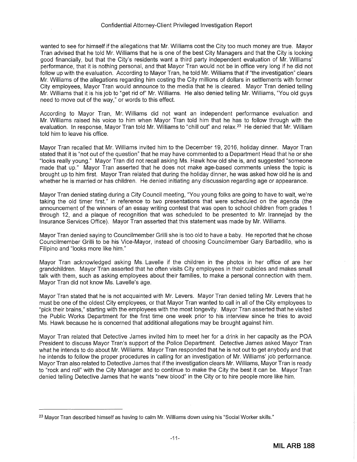wanted to see for himself if the allegations that Mr. Williams cost the City too much money are true. Mayor Tran advised that he told Mr. Williams that he is one of the best City Managers and that the City is looking good financially, but that the City's residents want a third party independent evaluation of Mr. Williams' performance, that it is nothing personal, and that Mayor Tran would not be in office very long if he did not follow up with the evaluation. According to Mayor Tran, he told Mr. Williams that if "the investigation" clears Mr. Williams of the allegations regarding him costing the City millions of dollars in settlements with former City employees, Mayor Tran would announce to the media that he is cleared. Mayor Tran denied telling Mr. Williams that it is his job to "get rid of" Mr. Williams. He also denied telling Mr. Williams, "You old guys need to move out of the way," or words to this effect.

According to Mayor Tran, Mr. Williams did not want an independent performance evaluation and Mr. Williams raised his voice to him when Mayor Tran told him that he has to follow through with the evaluation. In response, Mayor Tran told Mr. Williams to "chill out" and relax.<sup>23</sup> He denied that Mr. William told him to leave his office.

Mayor Tran recalled that Mr. Williams invited him to the December 19, 2016, holiday dinner. Mayor Tran stated that it is "not out of the question" that he may have commented to a Department Head that he or she "looks really young." Mayor Tran did not recall asking Ms. Hawk how old she is, and suggested "someone made that up." Mayor Tran asserted that he does not make age-based comments unless the topic is brought up to him first. Mayor Tran related that during the holiday dinner, he was asked how old he is and whether he is married or has children. He denied initiating any discussion regarding age or appearance.

Mayor Tran denied stating during a City Council meeting, "You young folks are going to have to wait, we're taking the old timer first," in reference to two presentations that were scheduled on the agenda (the announcement of the winners of an essay writing contest that was open to school children from grades 1 through 12, and a plaque of recognition that was scheduled to be presented to Mr. lrannejad by the Insurance Services Office). Mayor Tran asserted that this statement was made by Mr. Williams.

Mayor Tran denied saying to Councilmember Grilli she is too old to have a baby. He reported that he chose Councilmember Grilli to be his Vice-Mayor, instead of choosing Councilmember Gary Barbadillo, who is Filipino and "looks more like him."

Mayor Tran acknowledged asking Ms. Lavelle if the children in the photos in her office of are her grandchildren. Mayor Tran asserted that he often visits City employees in their cubicles and makes small talk with them, such as asking employees about their families, to make a personal connection with them. Mayor Tran did not know Ms. Lavelle's age.

Mayor Tran stated that he is not acquainted with Mr. Levers. Mayor Tran denied telling Mr. Levers that he must be one of the oldest City employees, or that Mayor Tran wanted to call in all of the City employees to "pick their brains," starting with the employees with the most longevity. Mayor Tran asserted that he visited the Public Works Department for the first time one week prior to his interview since he tries to avoid Ms. Hawk because he is concerned that additional allegations may be brought against him.

Mayor Tran related that Detective James invited him to meet her for a drink in her capacity as the POA President to discuss Mayor Tran's support of the Police Department. Detective James asked Mayor Tran what he intends to do about Mr. Williams. Mayor Tran responded that he is not out to get anybody and that he intends to follow the proper procedures in calling for an investigation of Mr. Williams' job performance. Mayor Tran also related to Detective James that if the investigation clears Mr. Williams, Mayor Tran is ready to "rock and roll" with the City Manager and to continue to make the City the best it can be. Mayor Tran denied telling Detective James that he wants "new blood" in the City or to hire people more like him.

<sup>&</sup>lt;sup>23</sup> Mayor Tran described himself as having to calm Mr. Williams down using his "Social Worker skills."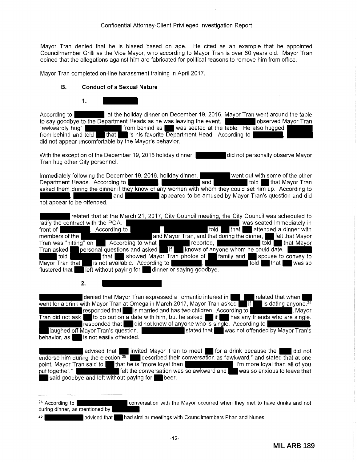Mayor Tran denied that he is biased based on age. He cited as an example that he appointed Councilmember Grilli as the Vice Mayor, who according to Mayor Tran is over 60 years old. Mayor Tran opined that the allegations against him are fabricated for political reasons to remove him from office.

Mayor Tran completed on-line harassment training in April 2017.

#### **B. Conduct of a Sexual Nature**



According to **According to According to , at the holiday dinner on December 19, 2016, Mayor Tran went around the table** to say goodbye to the Department Heads as he was leaving the event. **The Container Mayor Tran** "awkwardly hug" from behind as was seated at the table. He also hugged from behind and told that is his favorite Department Head. According to did not appear uncomfortable by the Mayor's behavior.

With the exception of the December 19, 2016 holiday dinner, **did not personally observe Mayor** Tran hug other City personnel.

Immediately following the December 19, 2016, holiday dinner, went out with some of the other<br>Department Heads. According to **we have been as a set of the other hand** to be that Mayor Tran Department Heads. According to **the set of the set of that Mayor Tran** to the set of that Mayor Tran asked them during the dinner if they know of any women with whom they could set him up. According to and **all appeared to be amused by Mayor Tran's question and did** not appear to be offended.

|                                                                     | related that at the March 21, 2017, City Council meeting, the City Council was scheduled to |                                   |
|---------------------------------------------------------------------|---------------------------------------------------------------------------------------------|-----------------------------------|
| ratify the contract with the POA.                                   |                                                                                             | was seated immediately in         |
| front of<br>. According to                                          | told                                                                                        | that attended a dinner with       |
| members of the                                                      | and Mayor Tran, and that during the dinner, <b>The fielt that Mayor</b>                     |                                   |
| Tran was "hitting" on <b>According to what</b>                      | reported.                                                                                   | told that Mayor                   |
| $\sqrt{p}$ personal questions and asked $\sqrt{p}$ if<br>Tran asked | knows of anyone whom he could date.                                                         |                                   |
| told                                                                | that Showed Mayor Tran photos of<br>family and                                              | spouse to convey to               |
| is not available. According to<br>Mayor Tran that                   | $\blacksquare$<br><u> Anglica Santang Pang</u>                                              | that <b>I</b><br>was so<br>told l |
| left without paying for dinner or saying goodbye.<br>flustered that |                                                                                             |                                   |

**2.** 

denied that Mayor Tran expressed a romantic interest in  $\blacksquare$  related that when went for a drink with Mayor Tran at Omega in March 2017, Mayor Tran asked if if is dating anyone.<sup>24</sup> responded that  $\blacksquare$  is married and has two children. According to  $\blacksquare$ , Mayor Tran did not ask  $\blacksquare$  to go out on a date with him, but he asked  $\blacksquare$  if  $\blacksquare$  has any friends who are single. **responded that did not know of anyone who is single.** According to laughed off Mayor Tran's question. stated that  $\blacksquare$  was not offended by Mayor Tran's  $\overline{\mathsf{beh}}$  behavior, as  $\blacksquare$  is not easily offended.

advised that invited Mayor Tran to meet for a drink because the did not endorse him during the election.<sup>25</sup> described their conversation as "awkward," and stated that at one point, Mayor Tran said to **the substitute of the set one** dyal than point, Mayor Tran said to that he is "more loyal than Italian II"m more loyal than all of you put together." **Figure 1.1** felt the conversation was so awkward and **was so anxious to leave that** said goodbye and left without paying for **been** 

<sup>24</sup> According to **conversation with the Mayor occurred when they met to have drinks and not** during dinner, as mentioned by 25 **a advised that had similar meetings with Councilmembers Phan and Nunes.**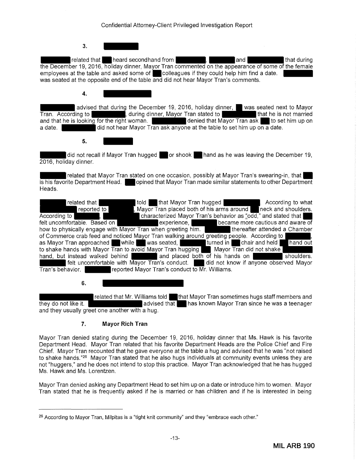| Confidential Attorney-Client Privileged Investigation Report |  |
|--------------------------------------------------------------|--|
|--------------------------------------------------------------|--|

**3.** 

related that **heard secondhand from the second of that during**  $\mathbf{I}$  and that during the December 19, 2016, holiday dinner, Mayor Tran commented on the appearance of some of the female employees at the table and asked some of **colleagues if they could help him find a date.** was seated at the opposite end of the table and did not hear Mayor Tran's comments.

**4.** 

advised that during the December 19, 2016, holiday dinner, was seated next to Mayor Tran. According to **the summan stated in that he is not married** from that he is not married and that he is looking for the right woman. The state of denied that Mayor Tran ask to set him up on a date. **disk as a did not hear Mayor Tran ask anyone at the table to set him up on a date.** 

**5.** 

 $\frac{1}{\frac{1}{\sqrt{1-\frac{1}{\sqrt{1-\frac{1}{\sqrt{1-\frac{1}{\sqrt{1-\frac{1}{\sqrt{1-\frac{1}{\sqrt{1-\frac{1}{\sqrt{1-\frac{1}{\sqrt{1-\frac{1}{\sqrt{1-\frac{1}{\sqrt{1-\frac{1}{\sqrt{1-\frac{1}{\sqrt{1-\frac{1}{\sqrt{1-\frac{1}{\sqrt{1-\frac{1}{\sqrt{1-\frac{1}{\sqrt{1-\frac{1}{\sqrt{1-\frac{1}{\sqrt{1-\frac{1}{\sqrt{1-\frac{1}{\sqrt{1-\frac{1}{\sqrt{1-\frac{1}{\sqrt{1-\frac{1}{\sqrt{1-\frac{1}{\sqrt{$ 2016, holiday dinner.

related that Mayor Tran stated on one occasion, possibly at Mayor Tran's swearing-in, that is his favorite Department Head. **Department** opined that Mayor Tran made similar statements to other Department Heads.

related that **that that that Mayor Tran hugged .** According to what reported to **Fig. 1.** Mayor Tran placed both of his arms around neck and shoulders. According to **the state of the state of the state of the state of the state of the state of the state of the state of the stated that condition of the state of the state of the state of the state of the state of the state** felt uncomfortable. Based on experience, became more cautious and aware of how to physically engage with Mayor Tran when greeting him. how to physically engage with Mayor Tran when greeting him. of Commerce crab feed and noticed Mayor Tran walking around greeting people. According to |<br>as Mayor Tran approached while was seated, was trurned in schair and held turned in **the Chair and held hand out** to shake hands with Mayor Tran to avoid Mayor Tran hugging Mayor Tran did not shake hand, but instead walked behind hand, but instead walked behind and placed both of his hands on shoulders. felt uncomfortable with Mayor Tran's conduct. \_\_\_\_ did not know if anyone observed Mayor  $\overline{\text{Tran's behavior.}}$  reported Mayor Tran's conduct to Mr. Williams.

**6.** 

related that Mr. Williams told that Mayor Tran sometimes hugs staff members and they do not like it.  $\blacksquare$  advised that  $\blacksquare$  has known Mayor Tran since he was a teenager and they usually greet one another with a hug.

## **7. Mayor Rich Tran**

Mayor Tran denied stating during the December 19, 2016, holiday dinner that Ms. Hawk is his favorite Department Head. Mayor Tran related that his favorite Department Heads are the Police Chief and Fire Chief. Mayor Tran recounted that he gave everyone at the table a hug and advised that he was "not raised to shake hands."26 Mayor Tran stated that he also hugs individuals at community events unless they are not "huggers," and he does not intend to stop this practice. Mayor Tran acknowledged that he has hugged Ms. Hawk and Ms. Lorentzen.

Mayor Tran denied asking any Department Head to set him up on a date or introduce him to women. Mayor Tran stated that he is frequently asked if he is married or has children and if he is interested in being

<sup>&</sup>lt;sup>26</sup> According to Mayor Tran, Milpitas is a "tight knit community" and they "embrace each other."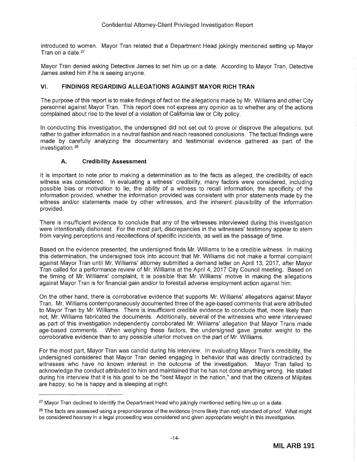introduced to women. Mayor Tran related that a Department Head jokingly mentioned setting up Mayor Tran on a date.<sup>27</sup>

Mayor Tran denied asking Detective James to set him up on a date. According to Mayor Tran, Detective James asked him if he is seeing anyone.

## **VI. FINDINGS REGARDING ALLEGATIONS AGAINST MAYOR RICH TRAN**

The purpose of this report is to make findings of fact on the allegations made by Mr. Williams and other City personnel against Mayor Tran. This report does not express any opinion as to whether any of the actions complained about rise to the level of a violation of California law or City policy.

In conducting this investigation, the undersigned did not set out to prove or disprove the allegations, but rather to gather information in a neutral fashion and reach reasoned conclusions. The factual findings were made by carefully analyzing the documentary and testimonial evidence gathered as part of the investigation. 28

## **A. Credibility Assessment**

It is important to note prior to making a determination as to the facts as alleged, the credibility of each witness was considered. In evaluating a witness' credibility, many factors were considered, including possible bias or motivation to lie, the ability of a witness to recall information, the specificity of the information provided, whether the information provided was consistent with prior statements made by the witness and/or statements made by other witnesses, and the inherent plausibility of the information provided.

There is insufficient evidence to conclude that any of the witnesses interviewed during this investigation were intentionally dishonest. For the most part, discrepancies in the witnesses' testimony appear to stem from varying perceptions and recollections of specific incidents, as well as the passage of time.

Based on the evidence presented, the undersigned finds Mr. Williams to be a credible witness. In making this determination, the undersigned took into account that Mr. Williams did not make a formal complaint against Mayor Tran until Mr. Williams' attorney submitted a demand letter on April 13, 2017, after Mayor Tran called for a performance review of Mr. Williams at the April 4, 2017 City Council meeting. Based on the timing of Mr. Williams' complaint, it is possible that Mr. Williams' motive in making the allegations against Mayor Tran is for financial gain and/or to forestall adverse employment action against him.

On the other hand, there is corroborative evidence that supports Mr. Williams' allegations against Mayor Tran. Mr. Williams contemporaneously documented three of the age-based comments that were attributed to Mayor Tran by Mr. Williams. There is insufficient credible evidence to conclude that, more likely than not, Mr. Williams fabricated the documents. Additionally, several of the witnesses who were interviewed as part of this investigation independently corroborated Mr. Williams' allegation that Mayor Trans made age-based comments. When weighing these factors, the undersigned gave greater weight to the corroborative evidence than to any possible ulterior motives on the part of Mr. Williams.

For the most part, Mayor Tran was candid during his interview. In evaluating Mayor Tran's credibility, the undersigned considered that Mayor Tran denied engaging in behavior that was directly contradicted by witnesses who have no known interest in the outcome of the investigation. Mayor Tran failed to acknowledge the conduct attributed to him and maintained that he has not done anything wrong. He stated during his interview that it is his goal to be the "best Mayor in the nation," and that the citizens of Milpitas are happy, so he is happy and is sleeping at night.

<sup>&</sup>lt;sup>27</sup> Mayor Tran declined to identify the Department Head who jokingly mentioned setting him up on a date.

<sup>&</sup>lt;sup>28</sup> The facts are assessed using a preponderance of the evidence (more likely than not) standard of proof. What might be considered hearsay in a legal proceeding was considered and given appropriate weight in this investigation.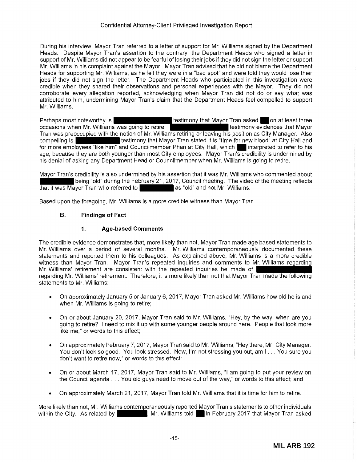During his interview, Mayor Tran referred to a letter of support for Mr. Williams signed by the Department Heads. Despite Mayor Tran's assertion to the contrary, the Department Heads who signed a letter in support of Mr. Williams did not appear to be fearful of losing their jobs if they did not sign the letter or support Mr. Williams in his complaint against the Mayor. Mayor Tran advised that he did not blame the Department Heads for supporting Mr. Williams, as he felt they were in a "bad spot" and were told they would lose their jobs if they did not sign the letter. The Department Heads who participated in this investigation were credible when they shared their observations and personal experiences with the Mayor. They did not corroborate every allegation reported, acknowledging when Mayor Tran did not do or say what was attributed to him, undermining Mayor Tran's claim that the Department Heads feel compelled to support Mr. Williams.

Perhaps most noteworthy is the step of the steading that Mayor Tran asked on at least three that  $\alpha$ occasions when Mr. Williams was going to retire. the state of the testimony evidences that Mayor Tran was preoccupied with the notion of Mr. Williams retiring or leaving his position as City Manager. Also compelling is testimony that Mayor Tran stated it is "time for new blood" at City Hall and for more employees "like him" and Councilmember Phan at City Hall, which interpreted to refer to his age, because they are both younger than most City employees. Mayor Tran's credibility is undermined by his denial of asking any Department Head or Councilmember when Mr. Williams is going to retire.

Mayor Tran's credibility is also undermined by his assertion that it was Mr. Williams who commented about being "old" during the February 21, 2017, Council meeting. The video of the meeting reflects avor Tran who referred to that it was Mayor Tran who referred to

Based upon the foregoing, Mr. Williams is a more credible witness than Mayor Tran.

## **B. Findings of Fact**

#### **1. Age-based Comments**

The credible evidence demonstrates that, more likely than not, Mayor Tran made age based statements to Mr. Williams over a period of several months. Mr. Williams contemporaneously documented these statements and reported them to his colleagues. As explained above, Mr. Williams is a more credible witness than Mayor Tran. Mayor Tran's repeated inquiries and comments to Mr. Williams regarding Mr. Williams' retirement are consistent with the repeated inquiries he made of regarding Mr. Williams' retirement. Therefore, it is more likely than not that Mayor Tran made the following statements to Mr. Williams:

- On approximately January 5 or January 6, 2017, Mayor Tran asked Mr. Williams how old he is and when Mr. Williams is going to retire;
- On or about January 20, 2017, Mayor Tran said to Mr. Williams, "Hey, by the way, when are you going to retire? I need to mix it up with some younger people around here. People that look more like me," or words to this effect;
- On approximately February 7, 2017, Mayor Tran said to Mr. Williams, "Hey there, Mr. City Manager. You don't look so good. You look stressed. Now, I'm not stressing you out, am I ... You sure you don't want to retire now," or words to this effect;
- On or about March 17, 2017, Mayor Tran said to Mr. Williams, "I am going to put your review on the Council agenda ... You old guys need to move out of the way," or words to this effect; and
- On approximately March 21, 2017, Mayor Tran told Mr. Williams that it is time for him to retire.

More likely than not, Mr. Williams contemporaneously reported Mayor Tran's statements to other individuals within the City. As related by  $\blacksquare$ , Mr. Williams told  $\blacksquare$  in February 2017 that Mayor Tran asked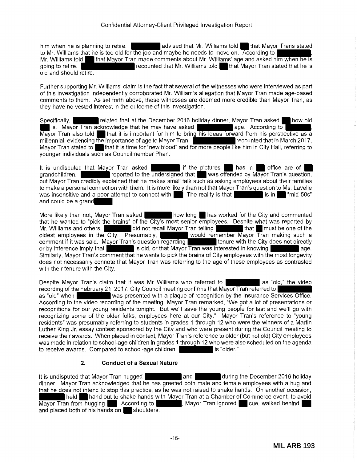him when he is planning to retire.  $\hphantom{\text{a}}$  advised that Mr. Williams told  $\hphantom{\text{a}}$  that Mayor Trans stated to Mr. Williams that he is too old for the job and maybe he needs to move on. According to  $\qquad \quad ,$ Mr. Williams told that Mayor Tran made comments about Mr. Williams' age and asked him when he is going to retire. The recounted that Mr. Williams told that Mayor Tran stated that he is old and should retire.

Further supporting Mr. Williams' claim is the fact that several of the witnesses who were interviewed as part of this investigation independently corroborated Mr. William's allegation that Mayor Tran made age-based comments to them. As set forth above, these witnesses are deemed more credible than Mayor Tran, as they have no vested interest in the outcome of this investigation.

Specifically, **related that at the December 2016 holiday dinner, Mayor Tran asked how old** is. Mayor Tran acknowledge that he may have asked **age. According to community**, Mayor Tran also told sthat it is important for him to bring his ideas forward from his perspective as a millennial, evidencing the importance of age to Mayor Tran. **Fig. 1. The recounted that in March 2017**, Mayor Tran stated to that it is time for "new blood" and for more people like him in City Hall, referring to younger individuals such as Councilmember Phan.

It is undisputed that Mayor Tran asked  $\blacksquare$  if the pictures  $\blacksquare$  has in  $\blacksquare$  office are of grandchildren. **The studies of the undersigned that was offended by Mayor Tran's question,** but Mayor Tran credibly explained that he makes small talk such as asking employees about their families to make a personal connection with them. It is more likely than not that Mayor Tran's question to Ms. Lavelle was insensitive and a poor attempt to connect with  $\blacksquare$  The reality is that  $\blacksquare$  is in  $\blacksquare$  "mid-50s" and could be a grand

More likely than not, Mayor Tran asked how long has worked for the City and commented that he wanted to "pick the brains" of the City's most senior employees. Despite what was reported by Mr. Williams and others, the did not recall Mayor Tran telling that that a must be one of the that in the one of the oldest employees in the City. Presumably, would remember Mayor  $\overline{T}$  ran making such a comment if it was said. Mayor Tran's question regarding comment if it was said. Mayor Tran's question regarding or by inference imply that **is a structure in the computation** age. Similarly, Mayor Tran's comment that he wants to pick the brains of City employees with the most longevity does not necessarily connote that Mayor Tran was referring to the age of these employees as contrasted with their tenure with the City.

Despite Mayor Tran's claim that it was Mr. Williams who referred to a lass "old," the video recording of the February 21, 2017, City Council meeting confirms that Mayor Tran referred to as "old" when was presented with a plaque of recognition by the Insurance Services Office. According to the video recording of the meeting, Mayor Tran remarked, "We got a lot of presentations or recognitions for our young residents tonight. But we'll save the young people for last and we'll go with recognizing some of the older folks, employees here at our City." Mayor Tran's reference to "young residents" was presumably referring to students in grades 1 through 12 who were the winners of a Martin Luther King Jr. essay contest sponsored by the City and who were present during the Council meeting to receive their awards. When placed in context, Mayor Tran's reference to older (but not old) City employees was made in relation to school-age children in grades 1 through 12 who were also scheduled on the agenda to receive awards. Compared to school-age children, it is "older."

## **2. Conduct of a Sexual Nature**

It is undisputed that Mayor Tran hugged and and during the December 2016 holiday dinner. Mayor Tran acknowledged that he has greeted both male and female employees with a hug and that he does not intend to stop this practice, as he was not raised to shake hands. On another occasion, held **hand out to shake hands with Mayor Tran at a Chamber of Commerce event, to avoid**<br>In from hugging **the According to Mayor Tran ignored** cue, walked behind Mayor Tran from hugging According to , Mayor Tran ignored cue, walked behind and placed both of his hands on shoulders.